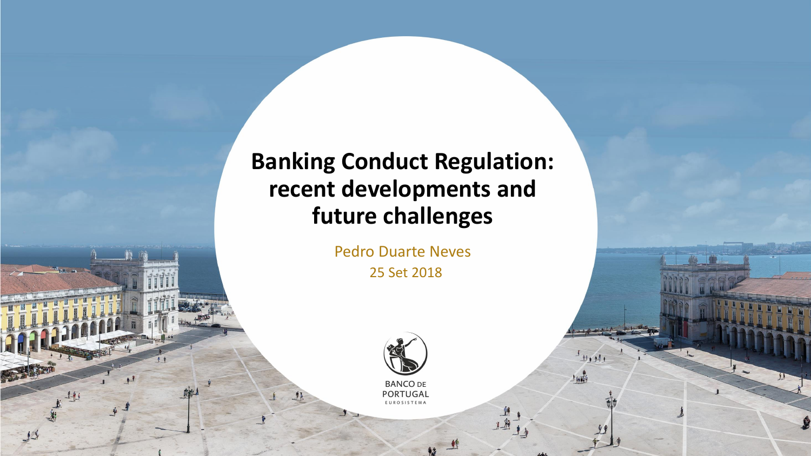# **Banking Conduct Regulation: recent developments and future challenges**

Pedro Duarte Neves 25 Set 2018



 $1$  Mo 14

**BANCO DE PORTUGAL** EUROSISTEMA

 $11$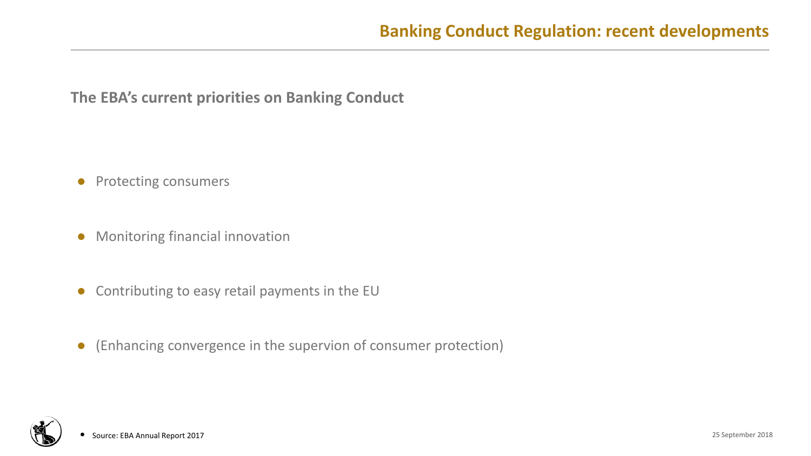**The EBA's current priorities on Banking Conduct**

- Protecting consumers
- Monitoring financial innovation
- Contributing to easy retail payments in the EU
- (Enhancing convergence in the supervion of consumer protection)

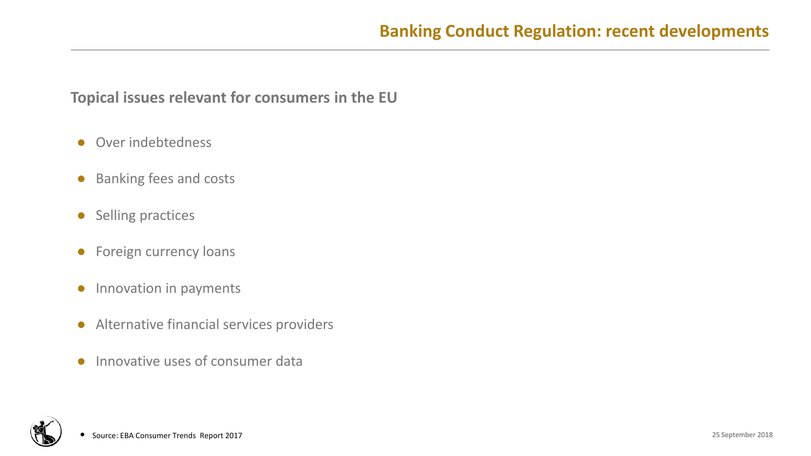### **Topical issues relevant for consumers in the EU**

- Over indebtedness
- Banking fees and costs
- Selling practices
- **•** Foreign currency loans
- Innovation in payments
- Alternative financial services providers
- Innovative uses of consumer data

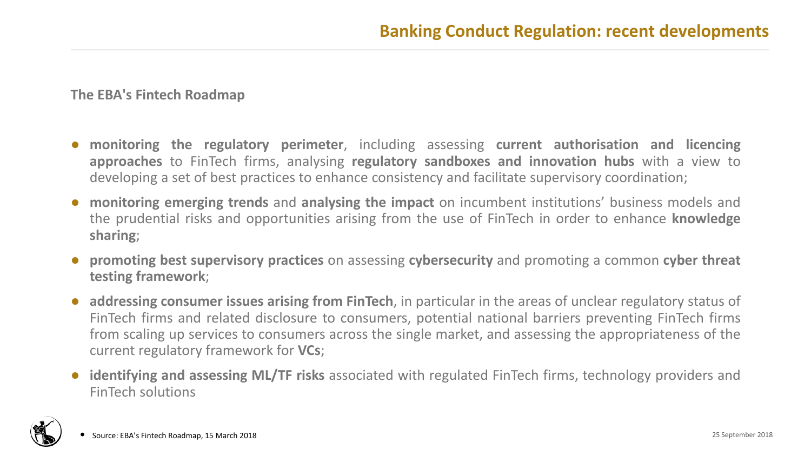**The EBA's Fintech Roadmap**

- **monitoring the regulatory perimeter**, including assessing **current authorisation and licencing approaches** to FinTech firms, analysing **regulatory sandboxes and innovation hubs** with a view to developing a set of best practices to enhance consistency and facilitate supervisory coordination;
- **monitoring emerging trends** and **analysing the impact** on incumbent institutions' business models and the prudential risks and opportunities arising from the use of FinTech in order to enhance **knowledge sharing**;
- **promoting best supervisory practices** on assessing **cybersecurity** and promoting a common **cyber threat testing framework**;
- **addressing consumer issues arising from FinTech**, in particular in the areas of unclear regulatory status of FinTech firms and related disclosure to consumers, potential national barriers preventing FinTech firms from scaling up services to consumers across the single market, and assessing the appropriateness of the current regulatory framework for **VCs**;
- **identifying and assessing ML/TF risks** associated with regulated FinTech firms, technology providers and FinTech solutions

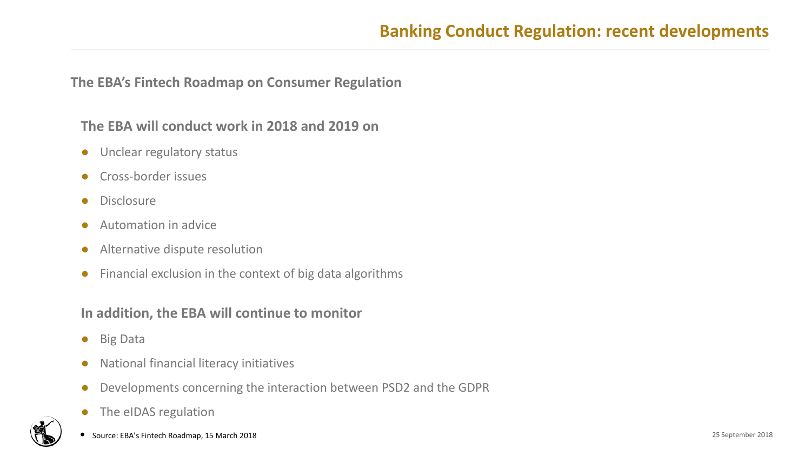**The EBA's Fintech Roadmap on Consumer Regulation**

#### **The EBA will conduct work in 2018 and 2019 on**

- Unclear regulatory status
- Cross-border issues
- Disclosure
- Automation in advice
- Alternative dispute resolution
- Financial exclusion in the context of big data algorithms

#### **In addition, the EBA will continue to monitor**

- Big Data
- National financial literacy initiatives
- Developments concerning the interaction between PSD2 and the GDPR
- The eIDAS regulation



• Source: EBA's Fintech Roadmap, 15 March 2018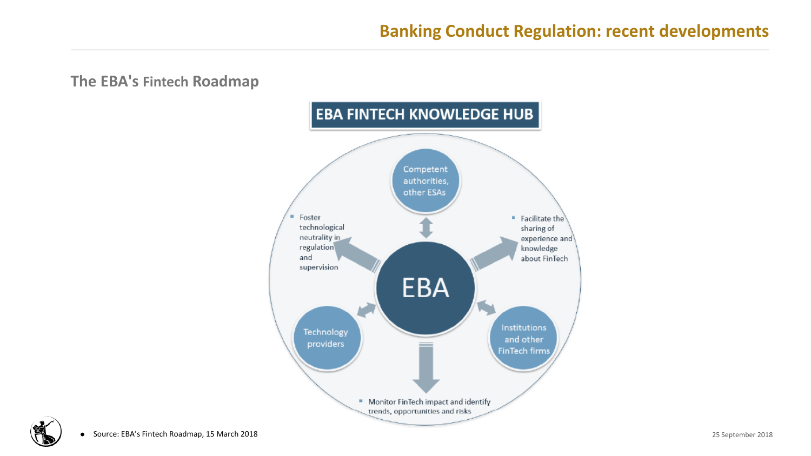### **The EBA's Fintech Roadmap**



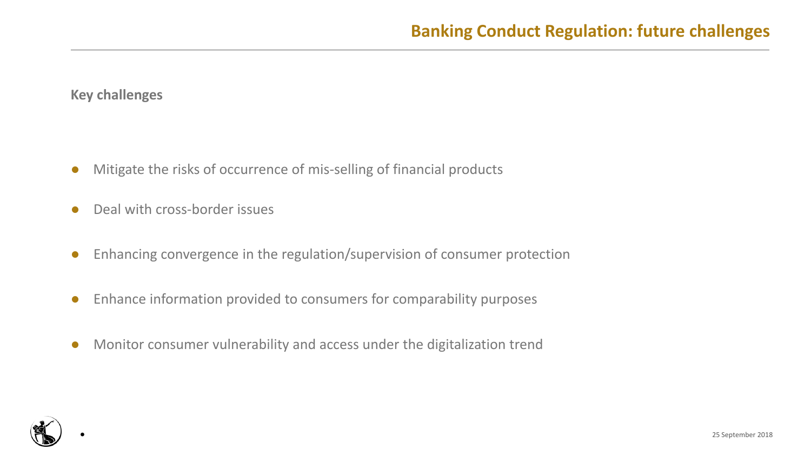**Key challenges**

- Mitigate the risks of occurrence of mis-selling of financial products
- Deal with cross-border issues
- Enhancing convergence in the regulation/supervision of consumer protection
- Enhance information provided to consumers for comparability purposes
- Monitor consumer vulnerability and access under the digitalization trend



•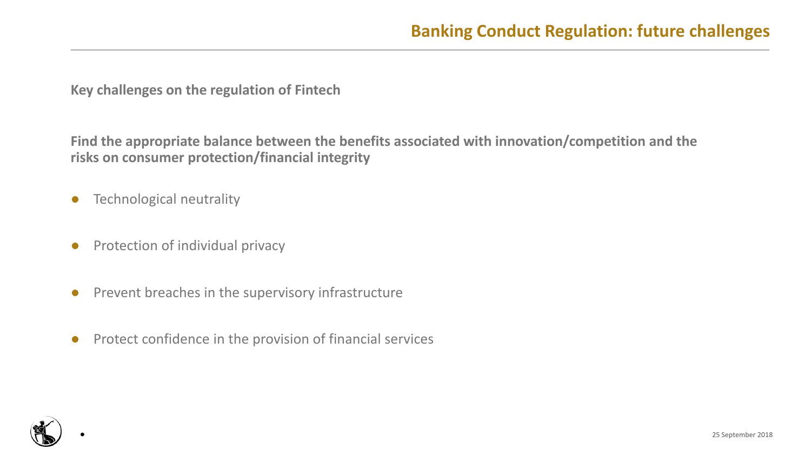**Key challenges on the regulation of Fintech**

**Find the appropriate balance between the benefits associated with innovation/competition and the risks on consumer protection/financial integrity**

- Technological neutrality
- Protection of individual privacy
- Prevent breaches in the supervisory infrastructure
- Protect confidence in the provision of financial services



•